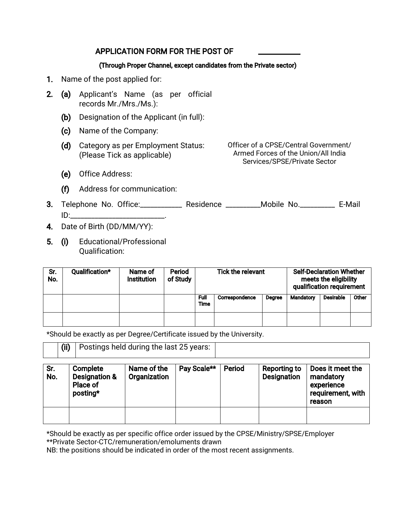#### APPLICATION FORM FOR THE POST OF

#### (Through Proper Channel, except candidates from the Private sector)

- 1. Name of the post applied for:
- 2. (a) Applicant's Name (as per official records Mr./Mrs./Ms.):
	- (b) Designation of the Applicant (in full):
	- (c) Name of the Company:
	- (d) Category as per Employment Status: (Please Tick as applicable)

Officer of a CPSE/Central Government/ Armed Forces of the Union/All India Services/SPSE/Private Sector

- (e) Office Address:
- (f) Address for communication:
- 3. Telephone No. Office:\_\_\_\_\_\_\_\_\_\_\_\_\_\_ Residence \_\_\_\_\_\_\_\_\_\_Mobile No.\_\_\_\_\_\_\_\_\_\_\_ E-Mail ID:\_\_\_\_\_\_\_\_\_\_\_\_\_\_\_\_\_\_\_\_\_\_\_\_\_\_\_.
- 4. Date of Birth (DD/MM/YY):
- 5. (i) Educational/Professional Qualification:

| Sr.<br>No. | Qualification* | Name of<br><b>Institution</b> | Period<br>of Study | <b>Tick the relevant</b> |                | <b>Self-Declaration Whether</b><br>meets the eligibility<br>qualification requirement |                  |                  |       |
|------------|----------------|-------------------------------|--------------------|--------------------------|----------------|---------------------------------------------------------------------------------------|------------------|------------------|-------|
|            |                |                               |                    | Full<br>Time             | Correspondence | <b>Degree</b>                                                                         | <b>Mandatory</b> | <b>Desirable</b> | Other |
|            |                |                               |                    |                          |                |                                                                                       |                  |                  |       |

\*Should be exactly as per Degree/Certificate issued by the University.

| (ii) | $^{\circ}$ Postings held during the last 25 years: $^{\circ}$ |  |
|------|---------------------------------------------------------------|--|
|      |                                                               |  |

| Sr.<br>No. | Complete<br><b>Designation &amp;</b><br>Place of<br>posting* | Name of the<br>Organization | Pay Scale** | Period | Reporting to<br><b>Designation</b> | Does it meet the<br>mandatory<br>experience<br>requirement, with<br>reason |
|------------|--------------------------------------------------------------|-----------------------------|-------------|--------|------------------------------------|----------------------------------------------------------------------------|
|            |                                                              |                             |             |        |                                    |                                                                            |

\*Should be exactly as per specific office order issued by the CPSE/Ministry/SPSE/Employer \*\*Private Sector-CTC/remuneration/emoluments drawn

NB: the positions should be indicated in order of the most recent assignments.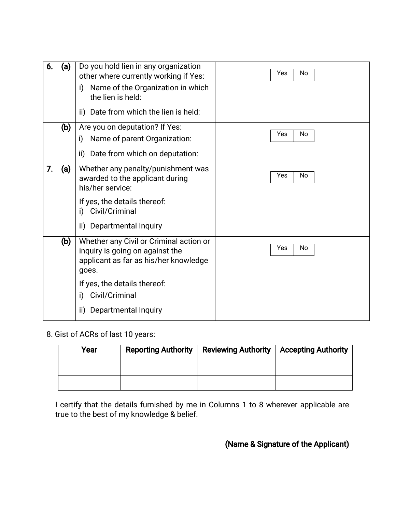| 6. | (a) | Do you hold lien in any organization<br>other where currently working if Yes:<br>Name of the Organization in which<br>i)<br>the lien is held:                                                                       | Yes<br><b>No</b> |
|----|-----|---------------------------------------------------------------------------------------------------------------------------------------------------------------------------------------------------------------------|------------------|
|    |     | ii) Date from which the lien is held:                                                                                                                                                                               |                  |
|    | (b) | Are you on deputation? If Yes:<br>Name of parent Organization:<br>i)<br>Date from which on deputation:<br>ii)                                                                                                       | Yes<br><b>No</b> |
| 7. | (a) | Whether any penalty/punishment was<br>awarded to the applicant during<br>his/her service:<br>If yes, the details thereof:<br>Civil/Criminal<br>i)<br>Departmental Inquiry<br>ii)                                    | Yes<br>No        |
|    | (b) | Whether any Civil or Criminal action or<br>inquiry is going on against the<br>applicant as far as his/her knowledge<br>goes.<br>If yes, the details thereof:<br>Civil/Criminal<br>i)<br>Departmental Inquiry<br>ii) | Yes<br>No        |

8. Gist of ACRs of last 10 years:

| Year | <b>Reporting Authority</b> | <b>Reviewing Authority</b> | <b>Accepting Authority</b> |
|------|----------------------------|----------------------------|----------------------------|
|      |                            |                            |                            |
|      |                            |                            |                            |

I certify that the details furnished by me in Columns 1 to 8 wherever applicable are true to the best of my knowledge & belief.

# (Name & Signature of the Applicant)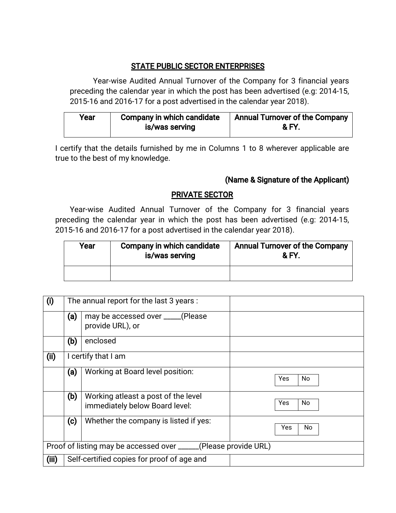# **STATE PUBLIC SECTOR ENTERPRISES**

Year-wise Audited Annual Turnover of the Company for 3 financial years preceding the calendar year in which the post has been advertised (e.g: 2014-15, 2015-16 and 2016-17 for a post advertised in the calendar year 2018).

| Year | <b>Company in which candidate</b> | <b>Annual Turnover of the Company</b> |
|------|-----------------------------------|---------------------------------------|
|      | is/was serving                    | <b>&amp;FY.</b>                       |

I certify that the details furnished by me in Columns 1 to 8 wherever applicable are true to the best of my knowledge.

# (Name & Signature of the Applicant)

# **PRIVATE SECTOR**

Year-wise Audited Annual Turnover of the Company for 3 financial years preceding the calendar year in which the post has been advertised (e.g: 2014-15, 2015-16 and 2016-17 for a post advertised in the calendar year 2018).

| Year | Company in which candidate<br>is/was serving | <b>Annual Turnover of the Company</b><br>& FY |
|------|----------------------------------------------|-----------------------------------------------|
|      |                                              |                                               |

| (i)   |                                                                  | The annual report for the last 3 years :                              |                   |  |  |
|-------|------------------------------------------------------------------|-----------------------------------------------------------------------|-------------------|--|--|
|       | (a)                                                              | may be accessed over _____(Please<br>provide URL), or                 |                   |  |  |
|       | (b)                                                              | enclosed                                                              |                   |  |  |
| (ii)  |                                                                  | I certify that I am                                                   |                   |  |  |
|       | (a)                                                              | Working at Board level position:                                      | <b>Yes</b><br>No. |  |  |
|       | (b)                                                              | Working atleast a post of the level<br>immediately below Board level: | Yes<br>No         |  |  |
|       | $\left( c\right)$                                                | Whether the company is listed if yes:                                 | Yes<br>No         |  |  |
|       | Proof of listing may be accessed over ______(Please provide URL) |                                                                       |                   |  |  |
| (iii) | Self-certified copies for proof of age and                       |                                                                       |                   |  |  |